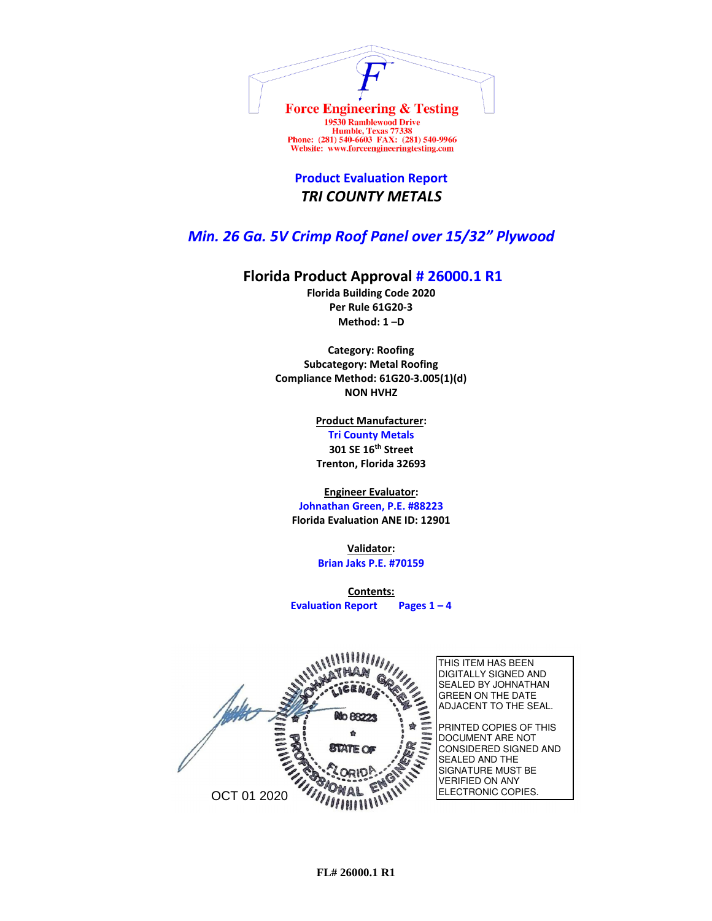

Website: www.forceengineeringtesting.com **Product Evaluation Report**

## *TRI COUNTY METALS*

## *Min. 26 Ga. 5V Crimp Roof Panel over 15/32" Plywood*

## **Florida Product Approval # 26000.1 R1**

**Florida Building Code 2020 Per Rule 61G20-3 Method: 1 –D** 

**Category: Roofing Subcategory: Metal Roofing Compliance Method: 61G20-3.005(1)(d) NON HVHZ**

> **Product Manufacturer: Tri County Metals 301 SE 16th Street Trenton, Florida 32693**

**Engineer Evaluator:**

**Johnathan Green, P.E. #88223 Florida Evaluation ANE ID: 12901**

> **Validator: Brian Jaks P.E. #70159**

**Contents: Evaluation Report Pages 1 – 4**

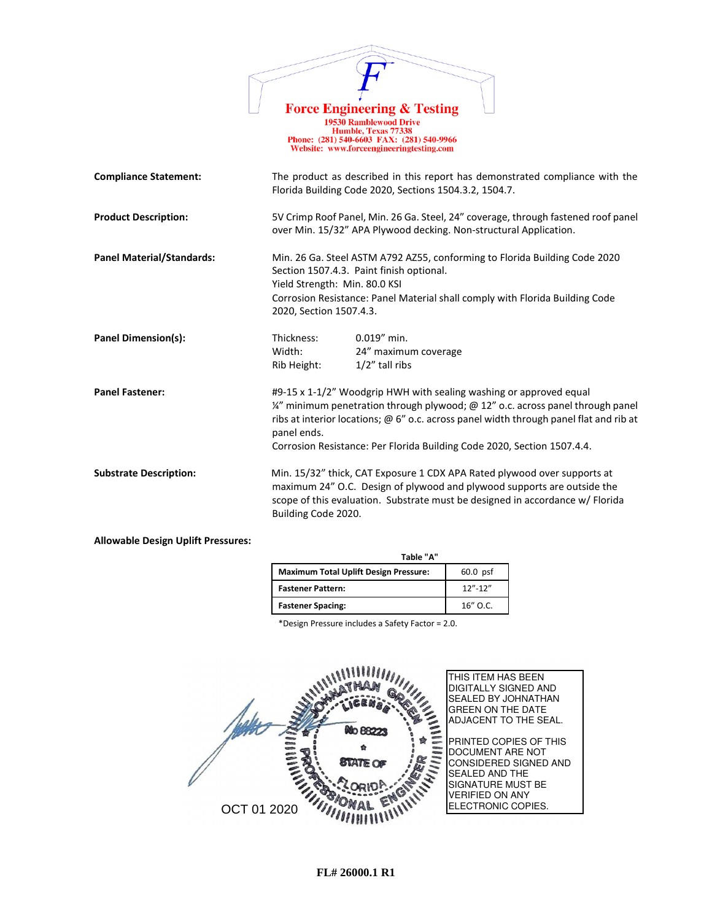|                                  | <b>Force Engineering &amp; Testing</b><br><b>19530 Ramblewood Drive</b><br>Humble, Texas 77338<br>Phone: (281) 540-6603 FAX: (281) 540-9966<br>Website: www.forceengineeringtesting.com                                                                                                                                                   |
|----------------------------------|-------------------------------------------------------------------------------------------------------------------------------------------------------------------------------------------------------------------------------------------------------------------------------------------------------------------------------------------|
| <b>Compliance Statement:</b>     | The product as described in this report has demonstrated compliance with the<br>Florida Building Code 2020, Sections 1504.3.2, 1504.7.                                                                                                                                                                                                    |
| <b>Product Description:</b>      | 5V Crimp Roof Panel, Min. 26 Ga. Steel, 24" coverage, through fastened roof panel<br>over Min. 15/32" APA Plywood decking. Non-structural Application.                                                                                                                                                                                    |
| <b>Panel Material/Standards:</b> | Min. 26 Ga. Steel ASTM A792 AZ55, conforming to Florida Building Code 2020<br>Section 1507.4.3. Paint finish optional.<br>Yield Strength: Min. 80.0 KSI<br>Corrosion Resistance: Panel Material shall comply with Florida Building Code<br>2020, Section 1507.4.3.                                                                        |
| <b>Panel Dimension(s):</b>       | $0.019''$ min.<br>Thickness:<br>Width:<br>24" maximum coverage<br>1/2" tall ribs<br>Rib Height:                                                                                                                                                                                                                                           |
| <b>Panel Fastener:</b>           | #9-15 x 1-1/2" Woodgrip HWH with sealing washing or approved equal<br>1/4" minimum penetration through plywood; @ 12" o.c. across panel through panel<br>ribs at interior locations; @ 6" o.c. across panel width through panel flat and rib at<br>panel ends.<br>Corrosion Resistance: Per Florida Building Code 2020, Section 1507.4.4. |
| <b>Substrate Description:</b>    | Min. 15/32" thick, CAT Exposure 1 CDX APA Rated plywood over supports at<br>maximum 24" O.C. Design of plywood and plywood supports are outside the<br>scope of this evaluation. Substrate must be designed in accordance w/ Florida<br>Building Code 2020.                                                                               |

 $\sqrt{ }$ 

## **Allowable Design Uplift Pressures:**

| Table "A"                                    |             |
|----------------------------------------------|-------------|
| <b>Maximum Total Uplift Design Pressure:</b> | $60.0$ psf  |
| <b>Fastener Pattern:</b>                     | $12" - 12"$ |
| <b>Fastener Spacing:</b>                     | $16''$ O.C. |

\*Design Pressure includes a Safety Factor = 2.0.

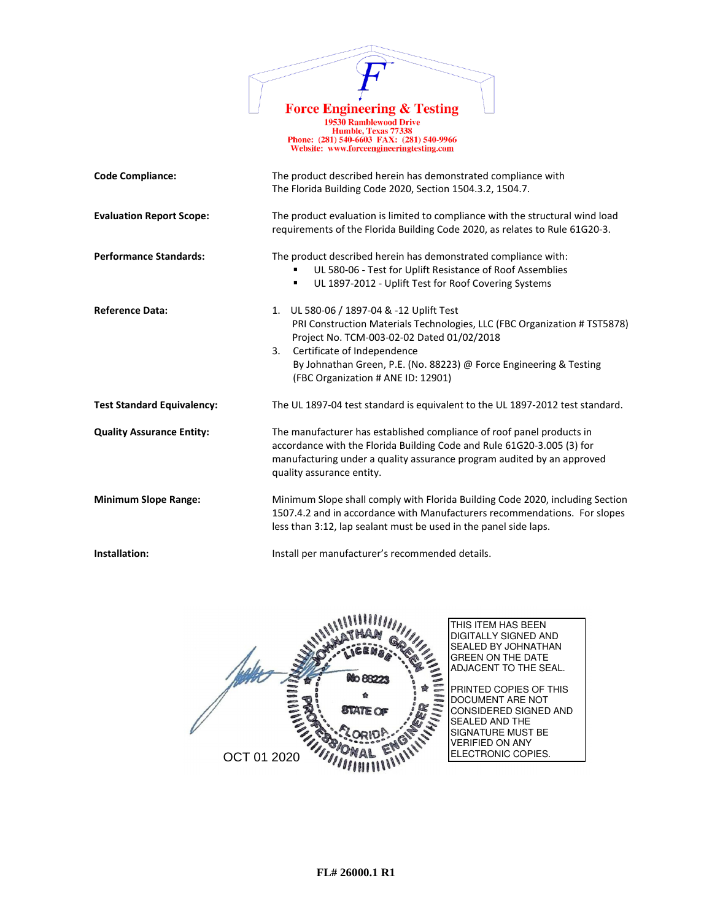

19730 Ramblewood Drive<br>
Humble, Texas 77338<br>
Phone: (281) 540-6603 FAX: (281) 540-9966<br>
Website: www.forceengineeringtesting.com

| <b>Code Compliance:</b>           | The product described herein has demonstrated compliance with                                                                                                                                                                                                                                                        |  |
|-----------------------------------|----------------------------------------------------------------------------------------------------------------------------------------------------------------------------------------------------------------------------------------------------------------------------------------------------------------------|--|
|                                   | The Florida Building Code 2020, Section 1504.3.2, 1504.7.                                                                                                                                                                                                                                                            |  |
| <b>Evaluation Report Scope:</b>   | The product evaluation is limited to compliance with the structural wind load<br>requirements of the Florida Building Code 2020, as relates to Rule 61G20-3.                                                                                                                                                         |  |
| <b>Performance Standards:</b>     | The product described herein has demonstrated compliance with:<br>UL 580-06 - Test for Uplift Resistance of Roof Assemblies<br>UL 1897-2012 - Uplift Test for Roof Covering Systems<br>٠                                                                                                                             |  |
| <b>Reference Data:</b>            | 1. UL 580-06 / 1897-04 & -12 Uplift Test<br>PRI Construction Materials Technologies, LLC (FBC Organization # TST5878)<br>Project No. TCM-003-02-02 Dated 01/02/2018<br>Certificate of Independence<br>3.<br>By Johnathan Green, P.E. (No. 88223) @ Force Engineering & Testing<br>(FBC Organization # ANE ID: 12901) |  |
| <b>Test Standard Equivalency:</b> | The UL 1897-04 test standard is equivalent to the UL 1897-2012 test standard.                                                                                                                                                                                                                                        |  |
| <b>Quality Assurance Entity:</b>  | The manufacturer has established compliance of roof panel products in<br>accordance with the Florida Building Code and Rule 61G20-3.005 (3) for<br>manufacturing under a quality assurance program audited by an approved<br>quality assurance entity.                                                               |  |
| <b>Minimum Slope Range:</b>       | Minimum Slope shall comply with Florida Building Code 2020, including Section<br>1507.4.2 and in accordance with Manufacturers recommendations. For slopes<br>less than 3:12, lap sealant must be used in the panel side laps.                                                                                       |  |
| Installation:                     | Install per manufacturer's recommended details.                                                                                                                                                                                                                                                                      |  |

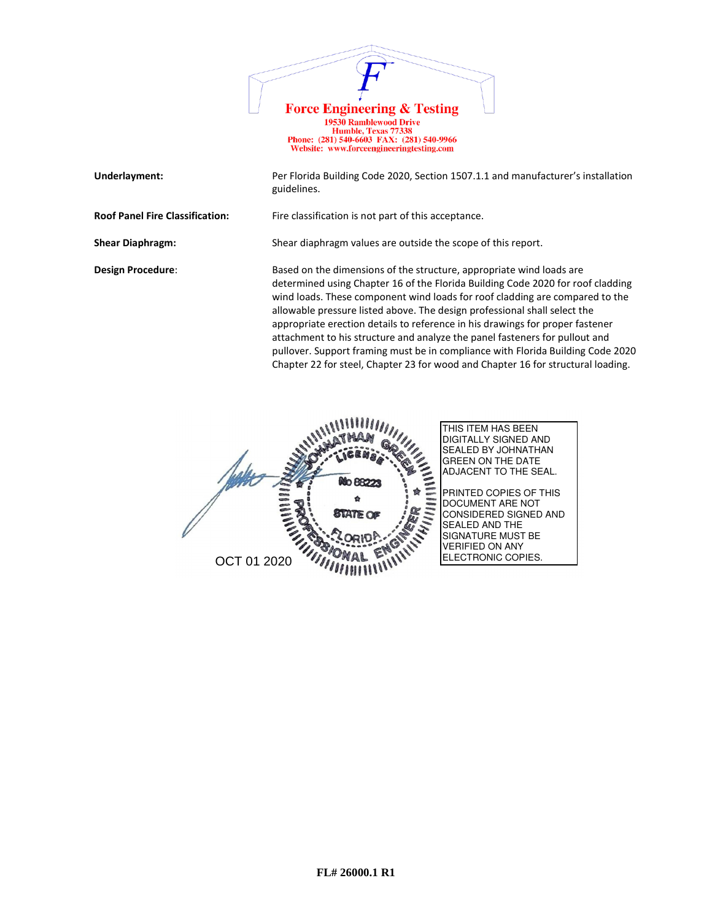

**Underlayment:** Per Florida Building Code 2020, Section 1507.1.1 and manufacturer's installation guidelines. **Roof Panel Fire Classification:** Fire classification is not part of this acceptance. **Shear Diaphragm:** Shear diaphragm values are outside the scope of this report. **Design Procedure:** Based on the dimensions of the structure, appropriate wind loads are determined using Chapter 16 of the Florida Building Code 2020 for roof cladding wind loads. These component wind loads for roof cladding are compared to the allowable pressure listed above. The design professional shall select the appropriate erection details to reference in his drawings for proper fastener attachment to his structure and analyze the panel fasteners for pullout and pullover. Support framing must be in compliance with Florida Building Code 2020 Chapter 22 for steel, Chapter 23 for wood and Chapter 16 for structural loading.